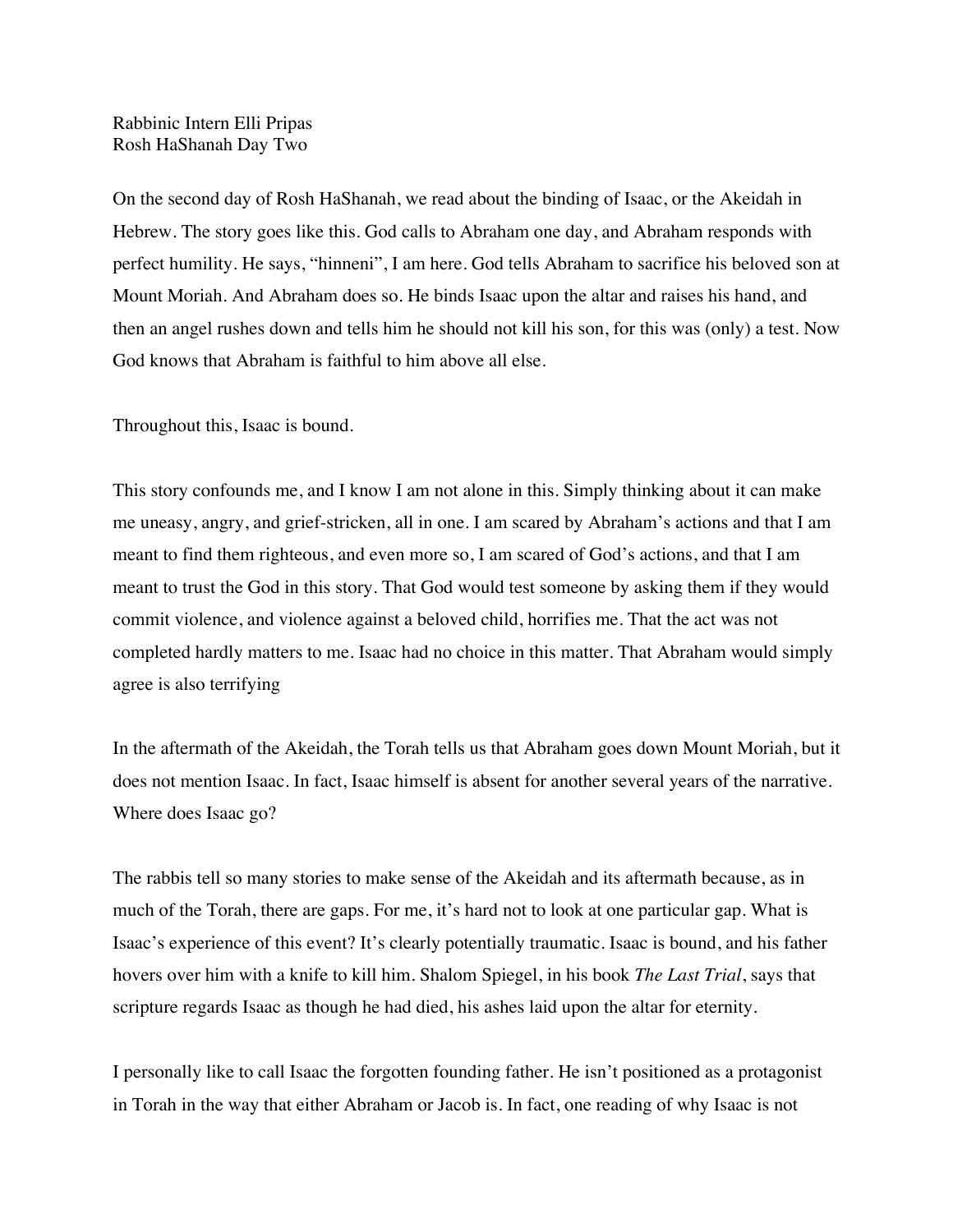Rabbinic Intern Elli Pripas Rosh HaShanah Day Two

On the second day of Rosh HaShanah, we read about the binding of Isaac, or the Akeidah in Hebrew. The story goes like this. God calls to Abraham one day, and Abraham responds with perfect humility. He says, "hinneni", I am here. God tells Abraham to sacrifice his beloved son at Mount Moriah. And Abraham does so. He binds Isaac upon the altar and raises his hand, and then an angel rushes down and tells him he should not kill his son, for this was (only) a test. Now God knows that Abraham is faithful to him above all else.

Throughout this, Isaac is bound.

This story confounds me, and I know I am not alone in this. Simply thinking about it can make me uneasy, angry, and grief-stricken, all in one. I am scared by Abraham's actions and that I am meant to find them righteous, and even more so, I am scared of God's actions, and that I am meant to trust the God in this story. That God would test someone by asking them if they would commit violence, and violence against a beloved child, horrifies me. That the act was not completed hardly matters to me. Isaac had no choice in this matter. That Abraham would simply agree is also terrifying

In the aftermath of the Akeidah, the Torah tells us that Abraham goes down Mount Moriah, but it does not mention Isaac. In fact, Isaac himself is absent for another several years of the narrative. Where does Isaac go?

The rabbis tell so many stories to make sense of the Akeidah and its aftermath because, as in much of the Torah, there are gaps. For me, it's hard not to look at one particular gap. What is Isaac's experience of this event? It's clearly potentially traumatic. Isaac is bound, and his father hovers over him with a knife to kill him. Shalom Spiegel, in his book *The Last Trial*, says that scripture regards Isaac as though he had died, his ashes laid upon the altar for eternity.

I personally like to call Isaac the forgotten founding father. He isn't positioned as a protagonist in Torah in the way that either Abraham or Jacob is. In fact, one reading of why Isaac is not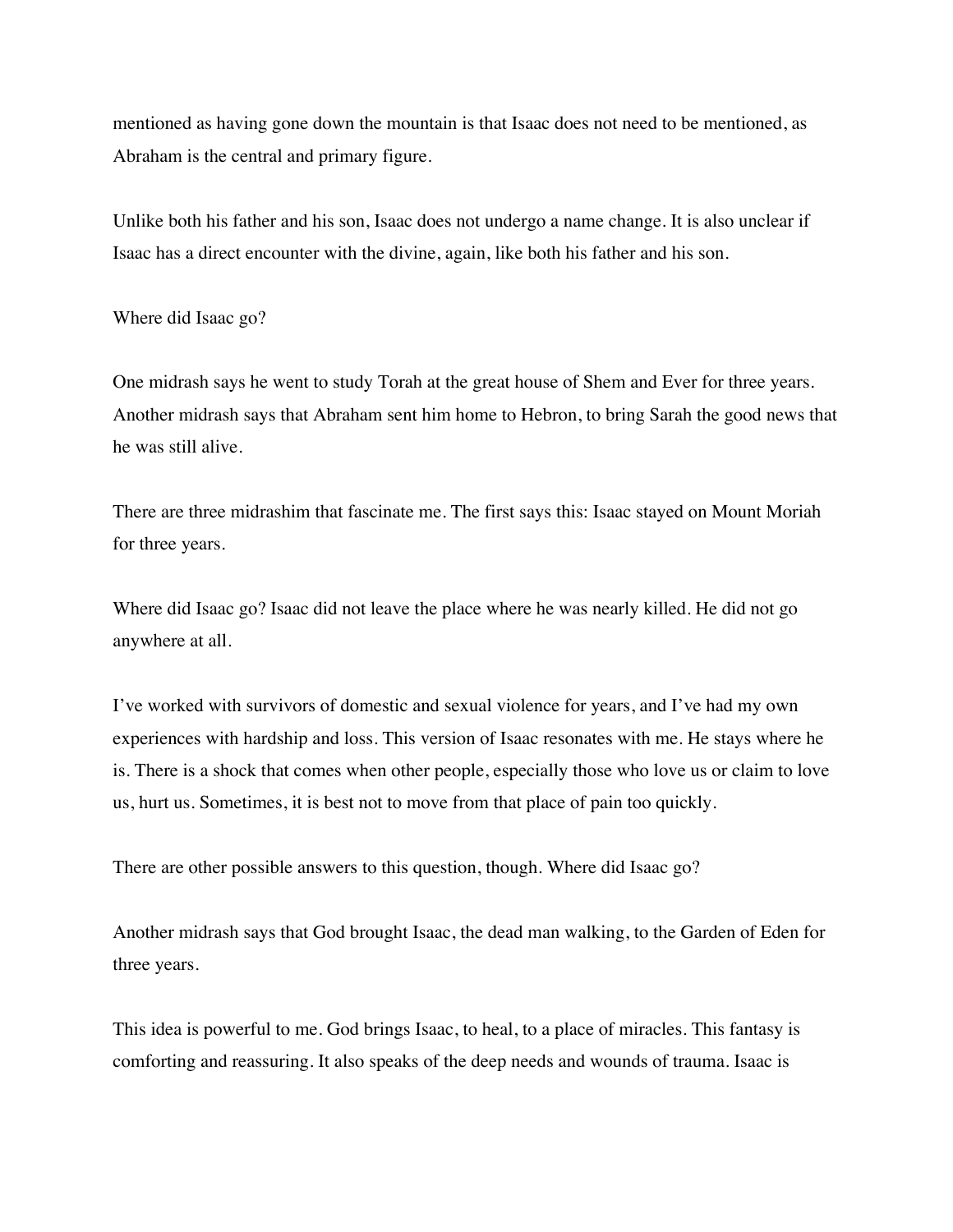mentioned as having gone down the mountain is that Isaac does not need to be mentioned, as Abraham is the central and primary figure.

Unlike both his father and his son, Isaac does not undergo a name change. It is also unclear if Isaac has a direct encounter with the divine, again, like both his father and his son.

Where did Isaac go?

One midrash says he went to study Torah at the great house of Shem and Ever for three years. Another midrash says that Abraham sent him home to Hebron, to bring Sarah the good news that he was still alive.

There are three midrashim that fascinate me. The first says this: Isaac stayed on Mount Moriah for three years.

Where did Isaac go? Isaac did not leave the place where he was nearly killed. He did not go anywhere at all.

I've worked with survivors of domestic and sexual violence for years, and I've had my own experiences with hardship and loss. This version of Isaac resonates with me. He stays where he is. There is a shock that comes when other people, especially those who love us or claim to love us, hurt us. Sometimes, it is best not to move from that place of pain too quickly.

There are other possible answers to this question, though. Where did Isaac go?

Another midrash says that God brought Isaac, the dead man walking, to the Garden of Eden for three years.

This idea is powerful to me. God brings Isaac, to heal, to a place of miracles. This fantasy is comforting and reassuring. It also speaks of the deep needs and wounds of trauma. Isaac is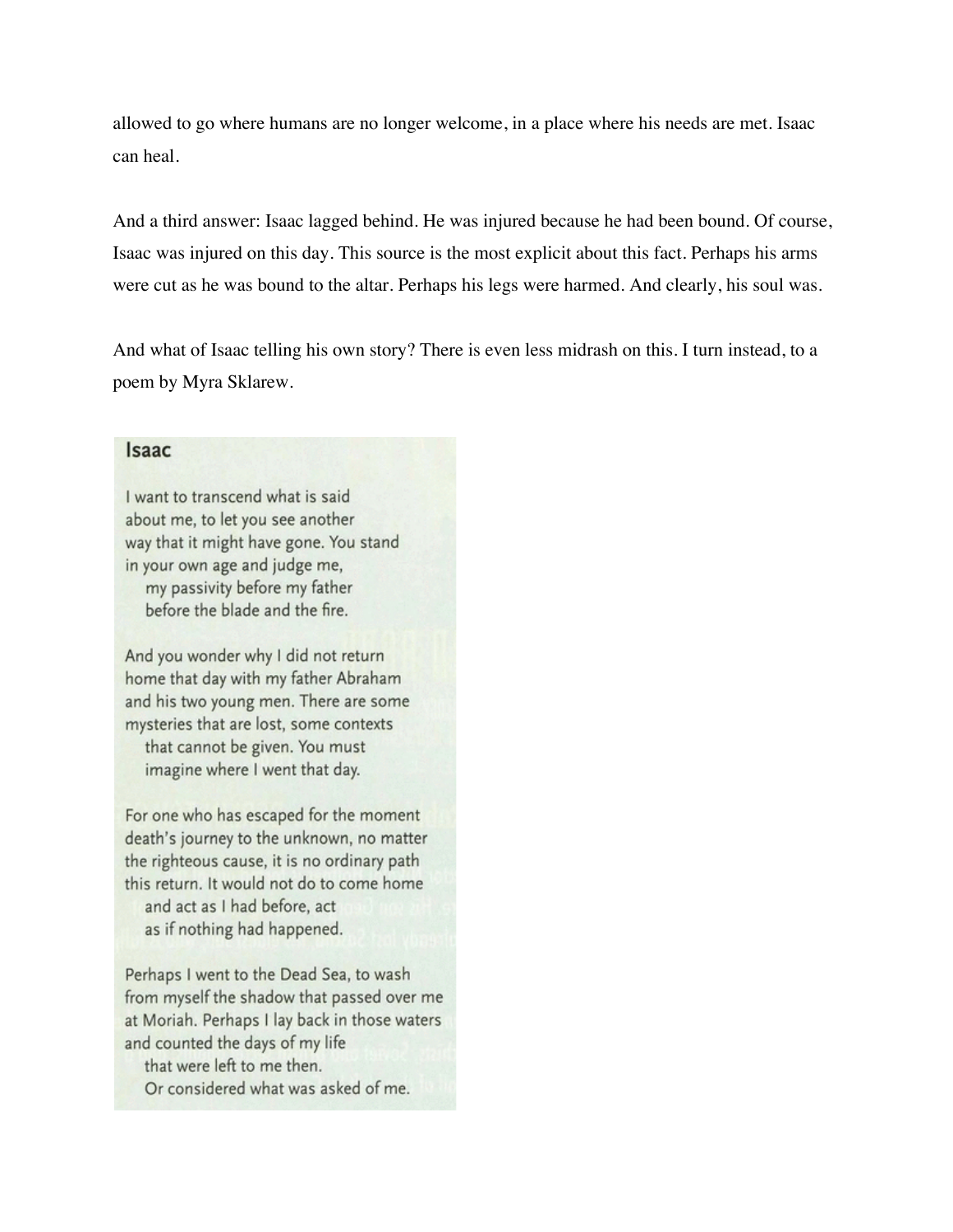allowed to go where humans are no longer welcome, in a place where his needs are met. Isaac can heal.

And a third answer: Isaac lagged behind. He was injured because he had been bound. Of course, Isaac was injured on this day. This source is the most explicit about this fact. Perhaps his arms were cut as he was bound to the altar. Perhaps his legs were harmed. And clearly, his soul was.

And what of Isaac telling his own story? There is even less midrash on this. I turn instead, to a poem by Myra Sklarew.

## **Isaac**

I want to transcend what is said about me, to let you see another way that it might have gone. You stand in your own age and judge me, my passivity before my father before the blade and the fire.

And you wonder why I did not return home that day with my father Abraham and his two young men. There are some mysteries that are lost, some contexts that cannot be given. You must imagine where I went that day.

For one who has escaped for the moment death's journey to the unknown, no matter the righteous cause, it is no ordinary path this return. It would not do to come home and act as I had before, act as if nothing had happened.

Perhaps I went to the Dead Sea, to wash from myself the shadow that passed over me at Moriah. Perhaps I lay back in those waters and counted the days of my life

that were left to me then.

Or considered what was asked of me.